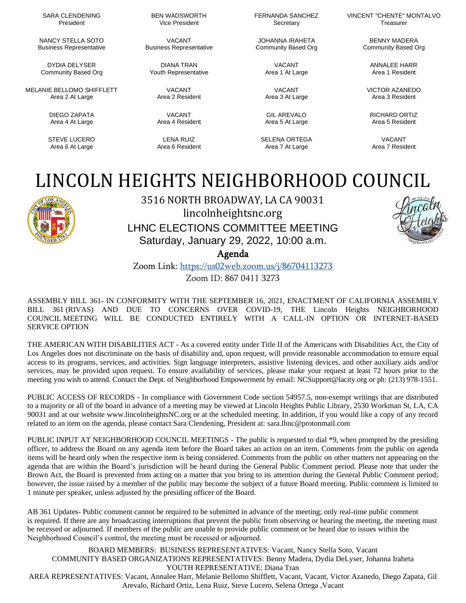SARA CLENDENING President

NANCY STELLA SOTO Business Representative

DYDIA DELYSER Community Based Org

MELANIE BELLOMO SHIFFLETT Area 2 At Large

> DIEGO ZAPATA Area 4 At Large

STEVE LUCERO Area 6 At Large

BEN WADSWORTH Vice President

VACANT Business Representative

DIANA TRAN Youth Representative

> VACANT Area 2 Resident

VACANT Area 4 Resident

LENA RUIZ Area 6 Resident FERNANDA SANCHEZ Secretary

JOHANNA IRAHETA Community Based Org

> VACANT Area 1 At Large

VACANT Area 3 At Large

GIL AREVALO Area 5 At Large

SELENA ORTEGA Area 7 At Large

VINCENT "CHENTE" MONTALVO Treasurer

> BENNY MADERA Community Based Org

> > ANNALEE HARR Area 1 Resident

VICTOR AZANEDO Area 3 Resident

RICHARD ORTIZ Area 5 Resident

VACANT Area 7 Resident

## LINCOLN HEIGHTS NEIGHBORHOOD COUNCIL



3516 NORTH BROADWAY, LA CA 90031 lincolnheightsnc.org LHNC ELECTIONS COMMITTEE MEETING Saturday, January 29, 2022, 10:00 a.m.

Agenda

Zoom Link: <https://us02web.zoom.us/j/86704113273> Zoom ID: 867 0411 3273

ASSEMBLY BILL 361- IN CONFORMITY WITH THE SEPTEMBER 16, 2021, ENACTMENT OF CALIFORNIA ASSEMBLY BILL 361 (RIVAS) AND DUE TO CONCERNS OVER COVID-19, THE Lincoln Heights NEIGHBORHOOD COUNCIL MEETING WILL BE CONDUCTED ENTIRELY WITH A CALL-IN OPTION OR INTERNET-BASED SERVICE OPTION

THE AMERICAN WITH DISABILITIES ACT - As a covered entity under Title II of the Americans with Disabilities Act, the City of Los Angeles does not discriminate on the basis of disability and, upon request, will provide reasonable accommodation to ensure equal access to its programs, services, and activities. Sign language interpreters, assistive listening devices, and other auxiliary aids and/or services, may be provided upon request. To ensure availability of services, please make your request at least 72 hours prior to the meeting you wish to attend. Contact the Dept. of Neighborhood Empowerment by email: [NCSupport@lacity.org](mailto:NCSupport@lacity.org) or ph: (213) 978-1551.

PUBLIC ACCESS OF RECORDS - In compliance with Government Code section 54957.5, non-exempt writings that are distributed to a majority or all of the board in advance of a meeting may be viewed at Lincoln Heights Public Library, 2530 Workman St, LA, CA 90031 and at our website [www.lincolnheightsNC.org](http://www.lincolnheightsnc.org/) or at the scheduled meeting. In addition, if you would like a copy of any record related to an item on the agenda, please contact Sara Clendening, President at: [sara.lhnc@protonmail.com](mailto:sara.lhnc@protonmail.com)

PUBLIC INPUT AT NEIGHBORHOOD COUNCIL MEETINGS - The public is requested to dial \*9, when prompted by the presiding officer, to address the Board on any agenda item before the Board takes an action on an item. Comments from the public on agenda items will be heard only when the respective item is being considered. Comments from the public on other matters not appearing on the agenda that are within the Board's jurisdiction will be heard during the General Public Comment period. Please note that under the Brown Act, the Board is prevented from acting on a matter that you bring to its attention during the General Public Comment period; however, the issue raised by a member of the public may become the subject of a future Board meeting. Public comment is limited to 1 minute per speaker, unless adjusted by the presiding officer of the Board.

AB 361 Updates- Public comment cannot be required to be submitted in advance of the meeting; only real-time public comment is required. If there are any broadcasting interruptions that prevent the public from observing or hearing the meeting, the meeting must be recessed or adjourned. If members of the public are unable to provide public comment or be heard due to issues within the Neighborhood Council's control, the meeting must be recessed or adjourned.

BOARD MEMBERS: BUSINESS REPRESENTATIVES: Vacant, Nancy Stella Soto, Vacant COMMUNITY BASED ORGANIZATIONS REPRESENTATIVES: Benny Madera, Dydia DeLyser, Johanna Iraheta YOUTH REPRESENTATIVE: Diana Tran AREA REPRESENTATIVES: Vacant, Annalee Harr, Melanie Bellomo Shifflett, Vacant, Vacant, Victor Azanedo, Diego Zapata, Gil Arevalo, Richard Ortiz, Lena Ruiz, Steve Lucero, Selena Ortega ,Vacant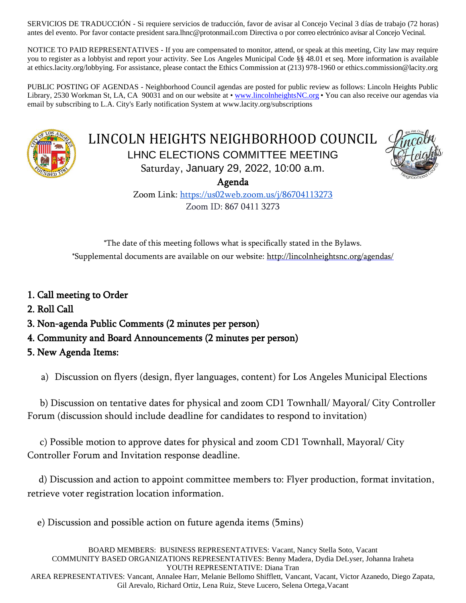SERVICIOS DE TRADUCCIÓN - Si requiere servicios de traducción, favor de avisar al Concejo Vecinal 3 días de trabajo (72 horas) antes del evento. Por favor contacte president sara.lhnc@protonmail.com Directiva o por correo electrónico avisar al Concejo Vecinal.

NOTICE TO PAID REPRESENTATIVES - If you are compensated to monitor, attend, or speak at this meeting, City law may require you to register as a lobbyist and report your activity. See Los Angeles Municipal Code §§ 48.01 et seq. More information is available at ethics.lacity.org/lobbying. For assistance, please contact the Ethics Commission at (213) 978-1960 or [ethics.commission@lacity.org](mailto:no_reply@apple.com)

PUBLIC POSTING OF AGENDAS - Neighborhood Council agendas are posted for public review as follows: Lincoln Heights Public Library, 2530 Workman St, LA, CA 90031 and on our website at [• www.lincolnheightsNC.org](http://www.lincolnheightsnc.org/) • You can also receive our agendas via email by subscribing to L.A. City's Early notification System at [www.lacity.org/subscriptions](http://www.lacity.org/subscriptions)



LINCOLN HEIGHTS NEIGHBORHOOD COUNCIL LHNC ELECTIONS COMMITTEE MEETING Saturday, January 29, 2022, 10:00 a.m.



Agenda Zoom Link: <https://us02web.zoom.us/j/86704113273>

Zoom ID: 867 0411 3273

\*The date of this meeting follows what is specifically stated in the Bylaws. \*Supplemental documents are available on our website: http://lincolnheightsnc.org/agendas/

- 1. Call meeting to Order
- 2. Roll Call
- 3. Non-agenda Public Comments (2 minutes per person)
- 4. Community and Board Announcements (2 minutes per person)
- 5. New Agenda Items:

a) Discussion on flyers (design, flyer languages, content) for Los Angeles Municipal Elections

 b) Discussion on tentative dates for physical and zoom CD1 Townhall/ Mayoral/ City Controller Forum (discussion should include deadline for candidates to respond to invitation)

 c) Possible motion to approve dates for physical and zoom CD1 Townhall, Mayoral/ City Controller Forum and Invitation response deadline.

 d) Discussion and action to appoint committee members to: Flyer production, format invitation, retrieve voter registration location information.

e) Discussion and possible action on future agenda items (5mins)